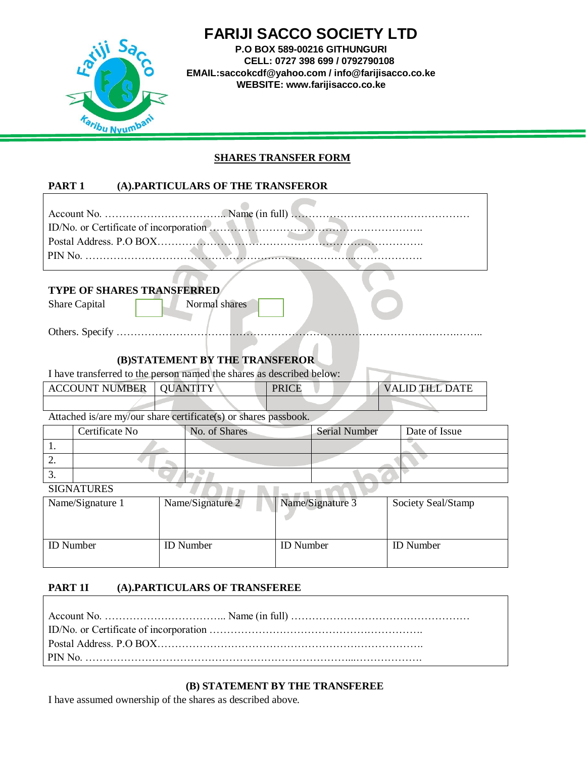

# **FARIJI SACCO SOCIETY LTD**

**P.O BOX 589-00216 GITHUNGURI CELL: 0727 398 699 / 0792790108 EMAIL:saccokcdf@yahoo.com / info@farijisacco.co.ke WEBSITE: www.farijisacco.co.ke**

### **SHARES TRANSFER FORM**

# **PART 1 (A).PARTICULARS OF THE TRANSFEROR**

| <b>TYPE OF SHARES TRANSFERRED</b><br>Normal shares<br>Share Capital   |                  |                      |  |                        |  |  |
|-----------------------------------------------------------------------|------------------|----------------------|--|------------------------|--|--|
|                                                                       |                  |                      |  |                        |  |  |
| (B)STATEMENT BY THE TRANSFEROR                                        |                  |                      |  |                        |  |  |
| I have transferred to the person named the shares as described below: |                  |                      |  |                        |  |  |
| <b>ACCOUNT NUMBER</b>                                                 | <b>QUANTITY</b>  | <b>PRICE</b>         |  | <b>VALID TILL DATE</b> |  |  |
|                                                                       |                  |                      |  |                        |  |  |
| Attached is/are my/our share certificate(s) or shares passbook.       |                  |                      |  |                        |  |  |
| Certificate No                                                        | No. of Shares    | <b>Serial Number</b> |  | Date of Issue          |  |  |
| $\mathbf{1}$ .                                                        |                  |                      |  |                        |  |  |
| $\overline{2}$ .                                                      |                  |                      |  |                        |  |  |
| 3.                                                                    |                  |                      |  |                        |  |  |
| <b>SIGNATURES</b>                                                     |                  |                      |  |                        |  |  |
| Name/Signature 1                                                      | Name/Signature 2 | Name/Signature 3     |  | Society Seal/Stamp     |  |  |

| ັ                | ັ<br>__          | $\tilde{}$       |                  |
|------------------|------------------|------------------|------------------|
| <b>ID</b> Number | <b>ID</b> Number | <b>ID</b> Number | <b>ID</b> Number |

#### **PART 1I (A).PARTICULARS OF TRANSFEREE**

# **(B) STATEMENT BY THE TRANSFEREE**

I have assumed ownership of the shares as described above.